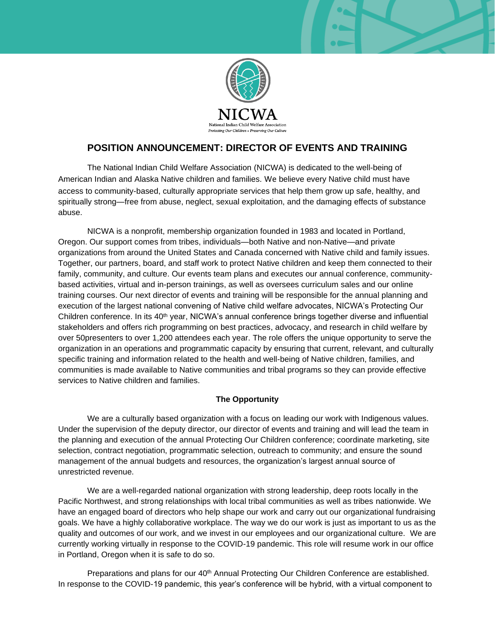

# **POSITION ANNOUNCEMENT: DIRECTOR OF EVENTS AND TRAINING**

The National Indian Child Welfare Association (NICWA) is dedicated to the well-being of American Indian and Alaska Native children and families. We believe every Native child must have access to community-based, culturally appropriate services that help them grow up safe, healthy, and spiritually strong—free from abuse, neglect, sexual exploitation, and the damaging effects of substance abuse.

NICWA is a nonprofit, membership organization founded in 1983 and located in Portland, Oregon. Our support comes from tribes, individuals—both Native and non-Native—and private organizations from around the United States and Canada concerned with Native child and family issues. Together, our partners, board, and staff work to protect Native children and keep them connected to their family, community, and culture. Our events team plans and executes our annual conference, communitybased activities, virtual and in-person trainings, as well as oversees curriculum sales and our online training courses. Our next director of events and training will be responsible for the annual planning and execution of the largest national convening of Native child welfare advocates, NICWA's Protecting Our Children conference. In its 40<sup>th</sup> year, NICWA's annual conference brings together diverse and influential stakeholders and offers rich programming on best practices, advocacy, and research in child welfare by over 50presenters to over 1,200 attendees each year. The role offers the unique opportunity to serve the organization in an operations and programmatic capacity by ensuring that current, relevant, and culturally specific training and information related to the health and well-being of Native children, families, and communities is made available to Native communities and tribal programs so they can provide effective services to Native children and families.

# **The Opportunity**

We are a culturally based organization with a focus on leading our work with Indigenous values. Under the supervision of the deputy director, our director of events and training and will lead the team in the planning and execution of the annual Protecting Our Children conference; coordinate marketing, site selection, contract negotiation, programmatic selection, outreach to community; and ensure the sound management of the annual budgets and resources, the organization's largest annual source of unrestricted revenue.

We are a well-regarded national organization with strong leadership, deep roots locally in the Pacific Northwest, and strong relationships with local tribal communities as well as tribes nationwide. We have an engaged board of directors who help shape our work and carry out our organizational fundraising goals. We have a highly collaborative workplace. The way we do our work is just as important to us as the quality and outcomes of our work, and we invest in our employees and our organizational culture. We are currently working virtually in response to the COVID-19 pandemic. This role will resume work in our office in Portland, Oregon when it is safe to do so.

Preparations and plans for our 40<sup>th</sup> Annual Protecting Our Children Conference are established. In response to the COVID-19 pandemic, this year's conference will be hybrid, with a virtual component to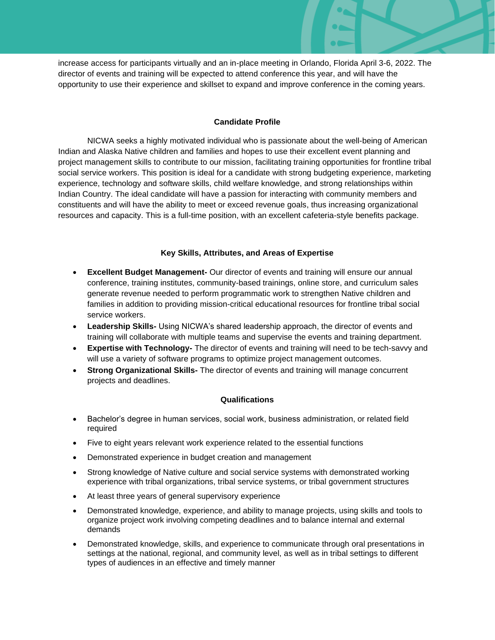increase access for participants virtually and an in-place meeting in Orlando, Florida April 3-6, 2022. The director of events and training will be expected to attend conference this year, and will have the opportunity to use their experience and skillset to expand and improve conference in the coming years.

## **Candidate Profile**

NICWA seeks a highly motivated individual who is passionate about the well-being of American Indian and Alaska Native children and families and hopes to use their excellent event planning and project management skills to contribute to our mission, facilitating training opportunities for frontline tribal social service workers. This position is ideal for a candidate with strong budgeting experience, marketing experience, technology and software skills, child welfare knowledge, and strong relationships within Indian Country. The ideal candidate will have a passion for interacting with community members and constituents and will have the ability to meet or exceed revenue goals, thus increasing organizational resources and capacity. This is a full-time position, with an excellent cafeteria-style benefits package.

### **Key Skills, Attributes, and Areas of Expertise**

- **Excellent Budget Management-** Our director of events and training will ensure our annual conference, training institutes, community-based trainings, online store, and curriculum sales generate revenue needed to perform programmatic work to strengthen Native children and families in addition to providing mission-critical educational resources for frontline tribal social service workers.
- **Leadership Skills-** Using NICWA's shared leadership approach, the director of events and training will collaborate with multiple teams and supervise the events and training department.
- **Expertise with Technology-** The director of events and training will need to be tech-savvy and will use a variety of software programs to optimize project management outcomes.
- **Strong Organizational Skills-** The director of events and training will manage concurrent projects and deadlines.

### **Qualifications**

- Bachelor's degree in human services, social work, business administration, or related field required
- Five to eight years relevant work experience related to the essential functions
- Demonstrated experience in budget creation and management
- Strong knowledge of Native culture and social service systems with demonstrated working experience with tribal organizations, tribal service systems, or tribal government structures
- At least three years of general supervisory experience
- Demonstrated knowledge, experience, and ability to manage projects, using skills and tools to organize project work involving competing deadlines and to balance internal and external demands
- Demonstrated knowledge, skills, and experience to communicate through oral presentations in settings at the national, regional, and community level, as well as in tribal settings to different types of audiences in an effective and timely manner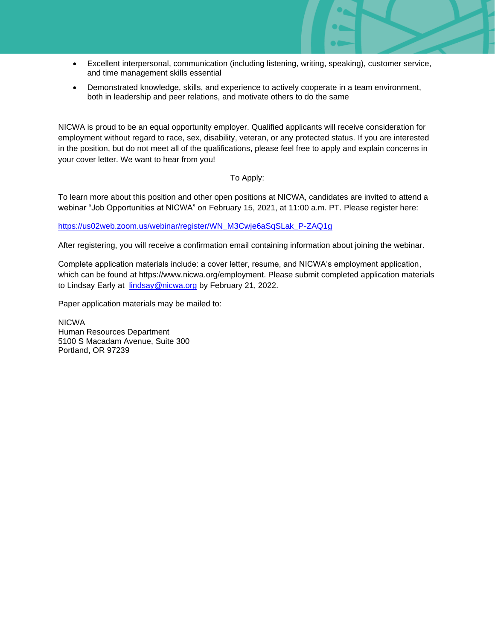- Excellent interpersonal, communication (including listening, writing, speaking), customer service, and time management skills essential
- Demonstrated knowledge, skills, and experience to actively cooperate in a team environment, both in leadership and peer relations, and motivate others to do the same

NICWA is proud to be an equal opportunity employer. Qualified applicants will receive consideration for employment without regard to race, sex, disability, veteran, or any protected status. If you are interested in the position, but do not meet all of the qualifications, please feel free to apply and explain concerns in your cover letter. We want to hear from you!

### To Apply:

To learn more about this position and other open positions at NICWA, candidates are invited to attend a webinar "Job Opportunities at NICWA" on February 15, 2021, at 11:00 a.m. PT. Please register here:

[https://us02web.zoom.us/webinar/register/WN\\_M3Cwje6aSqSLak\\_P-ZAQ1g](https://us02web.zoom.us/webinar/register/WN_M3Cwje6aSqSLak_P-ZAQ1g)

After registering, you will receive a confirmation email containing information about joining the webinar.

Complete application materials include: a cover letter, resume, and NICWA's employment application, which can be found at https://www.nicwa.org/employment. Please submit completed application materials to Lindsay Early at [lindsay@nicwa.org](mailto:lindsay@nicwa.org) by February 21, 2022.

Paper application materials may be mailed to:

NICWA Human Resources Department 5100 S Macadam Avenue, Suite 300 Portland, OR 97239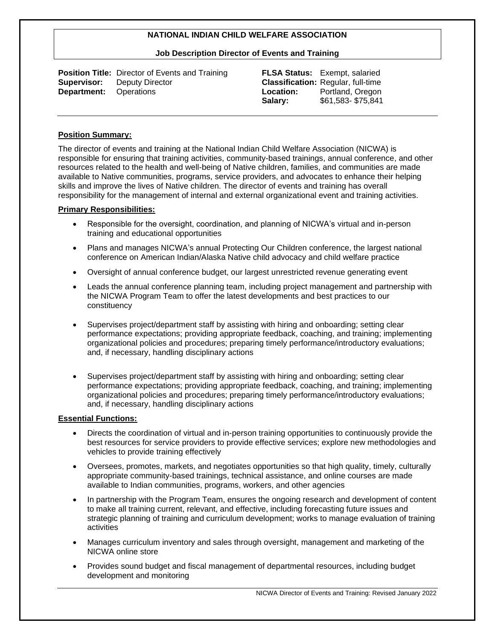#### **Job Description Director of Events and Training**

|                               | <b>Position Title:</b> Director of Events and Training |
|-------------------------------|--------------------------------------------------------|
|                               | <b>Supervisor:</b> Deputy Director                     |
| <b>Department:</b> Operations |                                                        |

**FLSA Status:** Exempt, salaried **Classification:** Regular, full-time **Location:** Portland, Oregon **Salary:** \$61,583- \$75,841

#### **Position Summary:**

The director of events and training at the National Indian Child Welfare Association (NICWA) is responsible for ensuring that training activities, community-based trainings, annual conference, and other resources related to the health and well-being of Native children, families, and communities are made available to Native communities, programs, service providers, and advocates to enhance their helping skills and improve the lives of Native children. The director of events and training has overall responsibility for the management of internal and external organizational event and training activities.

#### **Primary Responsibilities:**

- Responsible for the oversight, coordination, and planning of NICWA's virtual and in-person training and educational opportunities
- Plans and manages NICWA's annual Protecting Our Children conference, the largest national conference on American Indian/Alaska Native child advocacy and child welfare practice
- Oversight of annual conference budget, our largest unrestricted revenue generating event
- Leads the annual conference planning team, including project management and partnership with the NICWA Program Team to offer the latest developments and best practices to our constituency
- Supervises project/department staff by assisting with hiring and onboarding; setting clear performance expectations; providing appropriate feedback, coaching, and training; implementing organizational policies and procedures; preparing timely performance/introductory evaluations; and, if necessary, handling disciplinary actions
- Supervises project/department staff by assisting with hiring and onboarding; setting clear performance expectations; providing appropriate feedback, coaching, and training; implementing organizational policies and procedures; preparing timely performance/introductory evaluations; and, if necessary, handling disciplinary actions

#### **Essential Functions:**

- Directs the coordination of virtual and in-person training opportunities to continuously provide the best resources for service providers to provide effective services; explore new methodologies and vehicles to provide training effectively
- Oversees, promotes, markets, and negotiates opportunities so that high quality, timely, culturally appropriate community-based trainings, technical assistance, and online courses are made available to Indian communities, programs, workers, and other agencies
- In partnership with the Program Team, ensures the ongoing research and development of content to make all training current, relevant, and effective, including forecasting future issues and strategic planning of training and curriculum development; works to manage evaluation of training activities
- Manages curriculum inventory and sales through oversight, management and marketing of the NICWA online store
- Provides sound budget and fiscal management of departmental resources, including budget development and monitoring

NICWA Director of Events and Training: Revised January 2022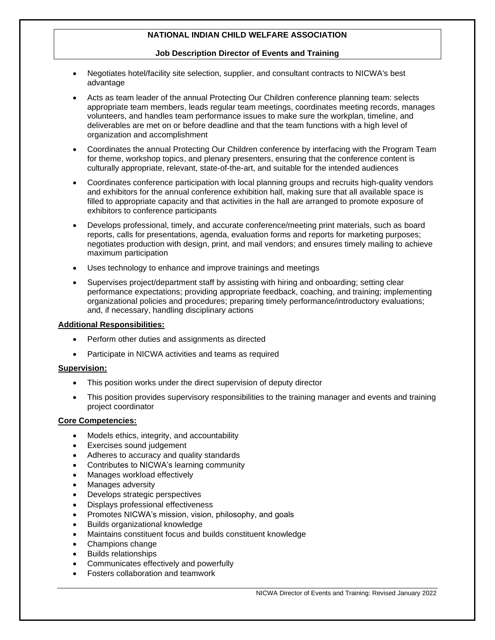#### **Job Description Director of Events and Training**

- Negotiates hotel/facility site selection, supplier, and consultant contracts to NICWA's best advantage
- Acts as team leader of the annual Protecting Our Children conference planning team: selects appropriate team members, leads regular team meetings, coordinates meeting records, manages volunteers, and handles team performance issues to make sure the workplan, timeline, and deliverables are met on or before deadline and that the team functions with a high level of organization and accomplishment
- Coordinates the annual Protecting Our Children conference by interfacing with the Program Team for theme, workshop topics, and plenary presenters, ensuring that the conference content is culturally appropriate, relevant, state-of-the-art, and suitable for the intended audiences
- Coordinates conference participation with local planning groups and recruits high-quality vendors and exhibitors for the annual conference exhibition hall, making sure that all available space is filled to appropriate capacity and that activities in the hall are arranged to promote exposure of exhibitors to conference participants
- Develops professional, timely, and accurate conference/meeting print materials, such as board reports, calls for presentations, agenda, evaluation forms and reports for marketing purposes; negotiates production with design, print, and mail vendors; and ensures timely mailing to achieve maximum participation
- Uses technology to enhance and improve trainings and meetings
- Supervises project/department staff by assisting with hiring and onboarding; setting clear performance expectations; providing appropriate feedback, coaching, and training; implementing organizational policies and procedures; preparing timely performance/introductory evaluations; and, if necessary, handling disciplinary actions

#### **Additional Responsibilities:**

- Perform other duties and assignments as directed
- Participate in NICWA activities and teams as required

#### **Supervision:**

- This position works under the direct supervision of deputy director
- This position provides supervisory responsibilities to the training manager and events and training project coordinator

#### **Core Competencies:**

- Models ethics, integrity, and accountability
- Exercises sound judgement
- Adheres to accuracy and quality standards
- Contributes to NICWA's learning community
- Manages workload effectively
- Manages adversity
- Develops strategic perspectives
- Displays professional effectiveness
- Promotes NICWA's mission, vision, philosophy, and goals
- Builds organizational knowledge
- Maintains constituent focus and builds constituent knowledge
- Champions change
- Builds relationships
- Communicates effectively and powerfully
- Fosters collaboration and teamwork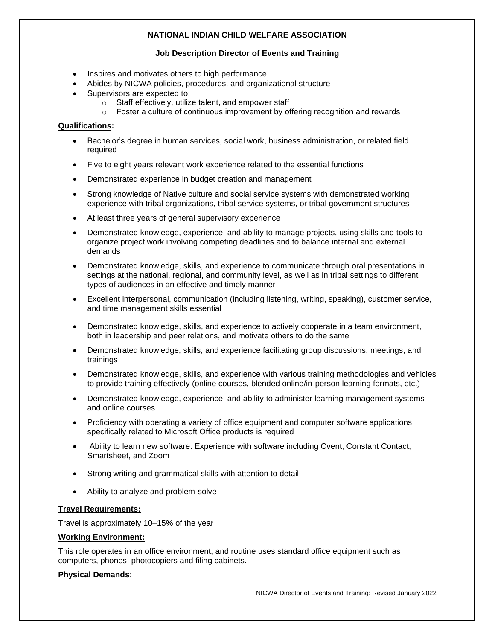### **Job Description Director of Events and Training**

- Inspires and motivates others to high performance
- Abides by NICWA policies, procedures, and organizational structure
- Supervisors are expected to:
	- o Staff effectively, utilize talent, and empower staff
		- $\circ$  Foster a culture of continuous improvement by offering recognition and rewards

### **Qualifications:**

- Bachelor's degree in human services, social work, business administration, or related field required
- Five to eight years relevant work experience related to the essential functions
- Demonstrated experience in budget creation and management
- Strong knowledge of Native culture and social service systems with demonstrated working experience with tribal organizations, tribal service systems, or tribal government structures
- At least three years of general supervisory experience
- Demonstrated knowledge, experience, and ability to manage projects, using skills and tools to organize project work involving competing deadlines and to balance internal and external demands
- Demonstrated knowledge, skills, and experience to communicate through oral presentations in settings at the national, regional, and community level, as well as in tribal settings to different types of audiences in an effective and timely manner
- Excellent interpersonal, communication (including listening, writing, speaking), customer service, and time management skills essential
- Demonstrated knowledge, skills, and experience to actively cooperate in a team environment, both in leadership and peer relations, and motivate others to do the same
- Demonstrated knowledge, skills, and experience facilitating group discussions, meetings, and trainings
- Demonstrated knowledge, skills, and experience with various training methodologies and vehicles to provide training effectively (online courses, blended online/in-person learning formats, etc.)
- Demonstrated knowledge, experience, and ability to administer learning management systems and online courses
- Proficiency with operating a variety of office equipment and computer software applications specifically related to Microsoft Office products is required
- Ability to learn new software. Experience with software including Cvent, Constant Contact, Smartsheet, and Zoom
- Strong writing and grammatical skills with attention to detail
- Ability to analyze and problem-solve

# **Travel Requirements:**

Travel is approximately 10–15% of the year

### **Working Environment:**

This role operates in an office environment, and routine uses standard office equipment such as computers, phones, photocopiers and filing cabinets.

# **Physical Demands:**